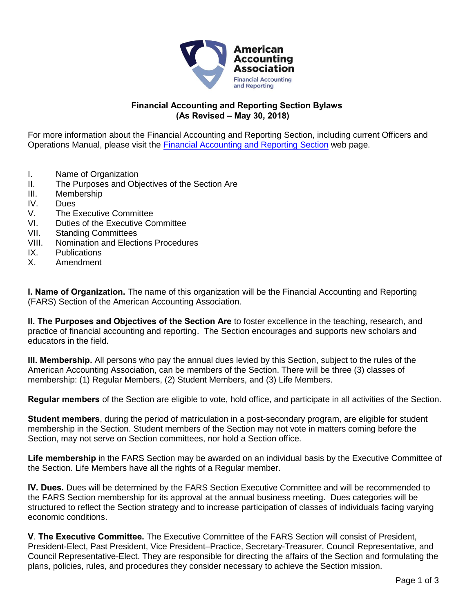

## **Financial Accounting and Reporting Section Bylaws (As Revised – May 30, 2018)**

For more information about the Financial Accounting and Reporting Section, including current Officers and Operations Manual, please visit the [Financial Accounting and Reporting Section](http://aaahq.org/fars) web page.

- I. Name of Organization
- II. The Purposes and Objectives of the Section Are
- III. Membership
- IV. Dues
- V. The Executive Committee
- VI. Duties of the Executive Committee
- VII. Standing Committees
- VIII. Nomination and Elections Procedures
- IX. Publications
- X. Amendment

**I. Name of Organization.** The name of this organization will be the Financial Accounting and Reporting (FARS) Section of the American Accounting Association.

**II. The Purposes and Objectives of the Section Are** to foster excellence in the teaching, research, and practice of financial accounting and reporting. The Section encourages and supports new scholars and educators in the field.

**III. Membership.** All persons who pay the annual dues levied by this Section, subject to the rules of the American Accounting Association, can be members of the Section. There will be three (3) classes of membership: (1) Regular Members, (2) Student Members, and (3) Life Members.

**Regular members** of the Section are eligible to vote, hold office, and participate in all activities of the Section.

**Student members**, during the period of matriculation in a post-secondary program, are eligible for student membership in the Section. Student members of the Section may not vote in matters coming before the Section, may not serve on Section committees, nor hold a Section office.

**Life membership** in the FARS Section may be awarded on an individual basis by the Executive Committee of the Section. Life Members have all the rights of a Regular member.

**IV. Dues.** Dues will be determined by the FARS Section Executive Committee and will be recommended to the FARS Section membership for its approval at the annual business meeting. Dues categories will be structured to reflect the Section strategy and to increase participation of classes of individuals facing varying economic conditions.

**V**. **The Executive Committee.** The Executive Committee of the FARS Section will consist of President, President-Elect, Past President, Vice President–Practice, Secretary-Treasurer, Council Representative, and Council Representative-Elect. They are responsible for directing the affairs of the Section and formulating the plans, policies, rules, and procedures they consider necessary to achieve the Section mission.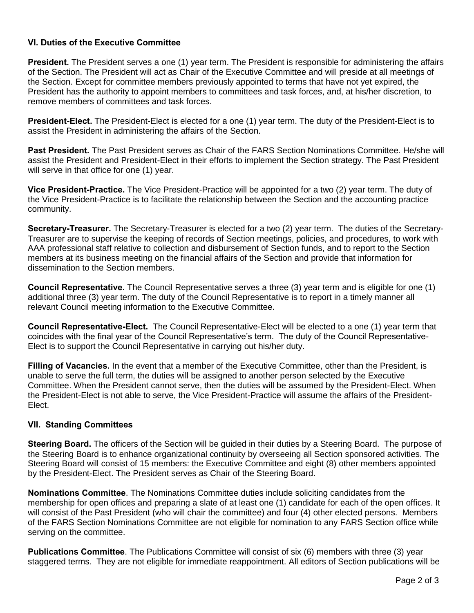## **VI. Duties of the Executive Committee**

**President.** The President serves a one (1) year term. The President is responsible for administering the affairs of the Section. The President will act as Chair of the Executive Committee and will preside at all meetings of the Section. Except for committee members previously appointed to terms that have not yet expired, the President has the authority to appoint members to committees and task forces, and, at his/her discretion, to remove members of committees and task forces.

**President-Elect.** The President-Elect is elected for a one (1) year term. The duty of the President-Elect is to assist the President in administering the affairs of the Section.

**Past President.** The Past President serves as Chair of the FARS Section Nominations Committee. He/she will assist the President and President-Elect in their efforts to implement the Section strategy. The Past President will serve in that office for one (1) year.

**Vice President-Practice.** The Vice President-Practice will be appointed for a two (2) year term. The duty of the Vice President-Practice is to facilitate the relationship between the Section and the accounting practice community.

**Secretary-Treasurer.** The Secretary-Treasurer is elected for a two (2) year term. The duties of the Secretary-Treasurer are to supervise the keeping of records of Section meetings, policies, and procedures, to work with AAA professional staff relative to collection and disbursement of Section funds, and to report to the Section members at its business meeting on the financial affairs of the Section and provide that information for dissemination to the Section members.

**Council Representative.** The Council Representative serves a three (3) year term and is eligible for one (1) additional three (3) year term. The duty of the Council Representative is to report in a timely manner all relevant Council meeting information to the Executive Committee.

**Council Representative-Elect.** The Council Representative-Elect will be elected to a one (1) year term that coincides with the final year of the Council Representative's term. The duty of the Council Representative-Elect is to support the Council Representative in carrying out his/her duty.

**Filling of Vacancies.** In the event that a member of the Executive Committee, other than the President, is unable to serve the full term, the duties will be assigned to another person selected by the Executive Committee. When the President cannot serve, then the duties will be assumed by the President-Elect. When the President-Elect is not able to serve, the Vice President-Practice will assume the affairs of the President-Elect.

## **VII. Standing Committees**

**Steering Board.** The officers of the Section will be guided in their duties by a Steering Board. The purpose of the Steering Board is to enhance organizational continuity by overseeing all Section sponsored activities. The Steering Board will consist of 15 members: the Executive Committee and eight (8) other members appointed by the President-Elect. The President serves as Chair of the Steering Board.

**Nominations Committee**. The Nominations Committee duties include soliciting candidates from the membership for open offices and preparing a slate of at least one (1) candidate for each of the open offices. It will consist of the Past President (who will chair the committee) and four (4) other elected persons. Members of the FARS Section Nominations Committee are not eligible for nomination to any FARS Section office while serving on the committee.

**Publications Committee**. The Publications Committee will consist of six (6) members with three (3) year staggered terms. They are not eligible for immediate reappointment. All editors of Section publications will be